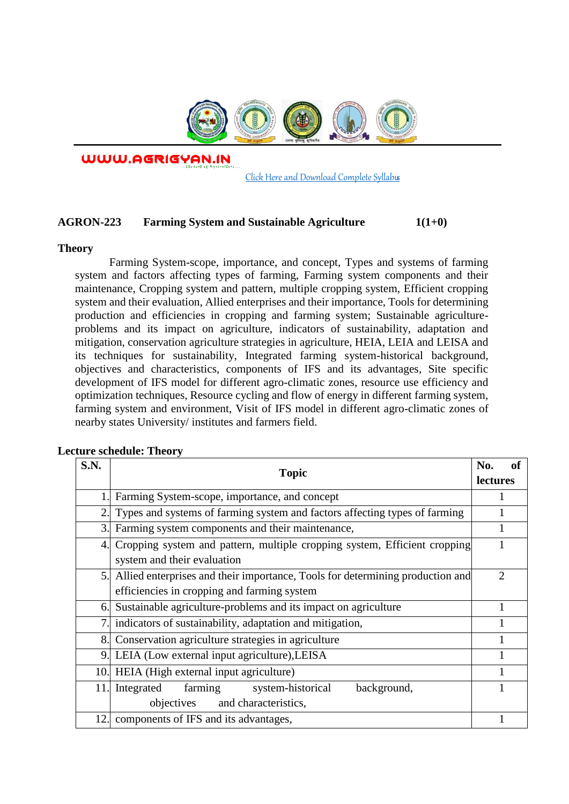

WWW.AGRIGYAN.IN

[Click Here and Download Complete Syllabus](http://agrigyan.in/)

## **AGRON-223 Farming System and Sustainable Agriculture 1(1+0)**

## **Theory**

 $\overline{a}$ 

Farming System-scope, importance, and concept, Types and systems of farming system and factors affecting types of farming, Farming system components and their maintenance, Cropping system and pattern, multiple cropping system, Efficient cropping system and their evaluation, Allied enterprises and their importance, Tools for determining production and efficiencies in cropping and farming system; Sustainable agricultureproblems and its impact on agriculture, indicators of sustainability, adaptation and mitigation, conservation agriculture strategies in agriculture, HEIA, LEIA and LEISA and its techniques for sustainability, Integrated farming system-historical background, objectives and characteristics, components of IFS and its advantages, Site specific development of IFS model for different agro-climatic zones, resource use efficiency and optimization techniques, Resource cycling and flow of energy in different farming system, farming system and environment, Visit of IFS model in different agro-climatic zones of nearby states University/ institutes and farmers field.

| S.N. | <b>Topic</b>                                                                                                                    | <b>of</b><br>No.<br><b>lectures</b> |
|------|---------------------------------------------------------------------------------------------------------------------------------|-------------------------------------|
|      | Farming System-scope, importance, and concept                                                                                   |                                     |
| 2.   | Types and systems of farming system and factors affecting types of farming                                                      |                                     |
| 3.   | Farming system components and their maintenance,                                                                                |                                     |
|      | 4. Cropping system and pattern, multiple cropping system, Efficient cropping<br>system and their evaluation                     |                                     |
|      | 5. Allied enterprises and their importance, Tools for determining production and<br>efficiencies in cropping and farming system | $\overline{2}$                      |
| 6.   | Sustainable agriculture-problems and its impact on agriculture                                                                  |                                     |
|      | indicators of sustainability, adaptation and mitigation,                                                                        |                                     |
|      | 8. Conservation agriculture strategies in agriculture                                                                           |                                     |
| 9.   | LEIA (Low external input agriculture), LEISA                                                                                    |                                     |
| 10   | HEIA (High external input agriculture)                                                                                          |                                     |
| 11.  | farming<br>system-historical<br>background,<br>Integrated                                                                       |                                     |
|      | objectives and characteristics,                                                                                                 |                                     |
| 12.  | components of IFS and its advantages,                                                                                           |                                     |

## **Lecture schedule: Theory**